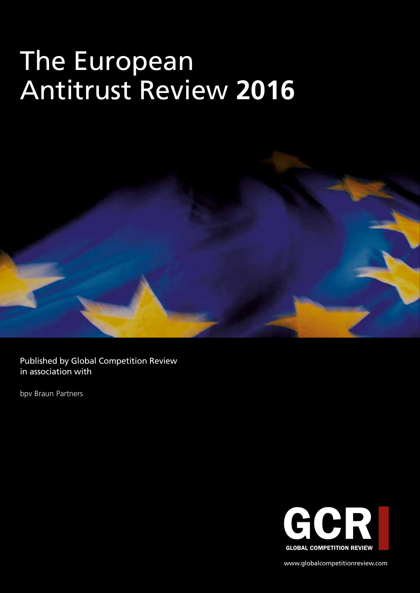# The European Antitrust Review **2016**



Published by Global Competition Review in association with

bpv Braun Partners



www.globalcompetitionreview.com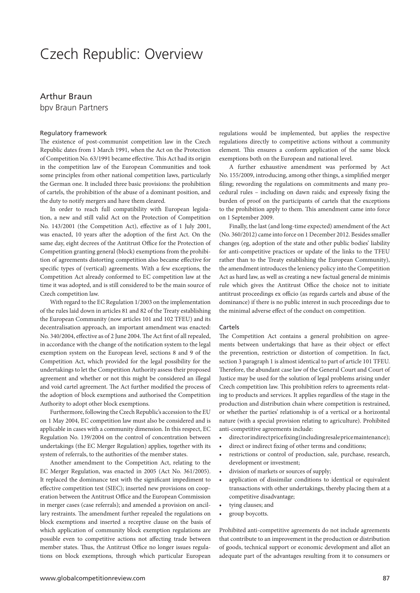### Czech Republic: Overview

#### Arthur Braun

bpv Braun Partners

#### Regulatory framework

The existence of post-communist competition law in the Czech Republic dates from 1 March 1991, when the Act on the Protection of Competition No. 63/1991 became effective. This Act had its origin in the competition law of the European Communities and took some principles from other national competition laws, particularly the German one. It included three basic provisions: the prohibition of cartels, the prohibition of the abuse of a dominant position, and the duty to notify mergers and have them cleared.

In order to reach full compatibility with European legislation, a new and still valid Act on the Protection of Competition No. 143/2001 (the Competition Act), effective as of 1 July 2001, was enacted, 10 years after the adoption of the first Act. On the same day, eight decrees of the Antitrust Office for the Protection of Competition granting general (block) exemptions from the prohibition of agreements distorting competition also became effective for specific types of (vertical) agreements. With a few exceptions, the Competition Act already conformed to EC competition law at the time it was adopted, and is still considered to be the main source of Czech competition law.

With regard to the EC Regulation 1/2003 on the implementation of the rules laid down in articles 81 and 82 of the Treaty establishing the European Community (now articles 101 and 102 TFEU) and its decentralisation approach, an important amendment was enacted: No. 340/2004, effective as of 2 June 2004. The Act first of all repealed, in accordance with the change of the notification system to the legal exemption system on the European level, sections 8 and 9 of the Competition Act, which provided for the legal possibility for the undertakings to let the Competition Authority assess their proposed agreement and whether or not this might be considered an illegal and void cartel agreement. The Act further modified the process of the adoption of block exemptions and authorised the Competition Authority to adopt other block exemptions.

Furthermore, following the Czech Republic's accession to the EU on 1 May 2004, EC competition law must also be considered and is applicable in cases with a community dimension. In this respect, EC Regulation No. 139/2004 on the control of concentration between undertakings (the EC Merger Regulation) applies, together with its system of referrals, to the authorities of the member states.

Another amendment to the Competition Act, relating to the EC Merger Regulation, was enacted in 2005 (Act No. 361/2005). It replaced the dominance test with the significant impediment to effective competition test (SIEC); inserted new provisions on cooperation between the Antitrust Office and the European Commission in merger cases (case referrals); and amended a provision on ancillary restraints. The amendment further repealed the regulations on block exemptions and inserted a receptive clause on the basis of which application of community block exemption regulations are possible even to competitive actions not affecting trade between member states. Thus, the Antitrust Office no longer issues regulations on block exemptions, through which particular European

regulations would be implemented, but applies the respective regulations directly to competitive actions without a community element. This ensures a conform application of the same block exemptions both on the European and national level.

A further exhaustive amendment was performed by Act No. 155/2009, introducing, among other things, a simplified merger filing; rewording the regulations on commitments and many procedural rules – including on dawn raids; and expressly fixing the burden of proof on the participants of cartels that the exceptions to the prohibition apply to them. This amendment came into force on 1 September 2009.

Finally, the last (and long-time expected) amendment of the Act (No. 360/2012) came into force on 1 December 2012. Besides smaller changes (eg, adoption of the state and other public bodies' liability for anti-competitive practices or update of the links to the TFEU rather than to the Treaty establishing the European Community), the amendment introduces the leniency policy into the Competition Act as hard law, as well as creating a new factual general de minimis rule which gives the Antitrust Office the choice not to initiate antitrust proceedings ex officio (as regards cartels and abuse of the dominance) if there is no public interest in such proceedings due to the minimal adverse effect of the conduct on competition.

#### Cartels

The Competition Act contains a general prohibition on agreements between undertakings that have as their object or effect the prevention, restriction or distortion of competition. In fact, section 3 paragraph 1 is almost identical to part of article 101 TFEU. Therefore, the abundant case law of the General Court and Court of Justice may be used for the solution of legal problems arising under Czech competition law. This prohibition refers to agreements relating to products and services. It applies regardless of the stage in the production and distribution chain where competition is restrained, or whether the parties' relationship is of a vertical or a horizontal nature (with a special provision relating to agriculture). Prohibited anti-competitive agreements include:

- direct or indirect price fixing (including resale price maintenance);
- direct or indirect fixing of other terms and conditions;
- restrictions or control of production, sale, purchase, research, development or investment;
- division of markets or sources of supply;
- application of dissimilar conditions to identical or equivalent transactions with other undertakings, thereby placing them at a competitive disadvantage;
- tying clauses; and
- group boycotts.

Prohibited anti-competitive agreements do not include agreements that contribute to an improvement in the production or distribution of goods, technical support or economic development and allot an adequate part of the advantages resulting from it to consumers or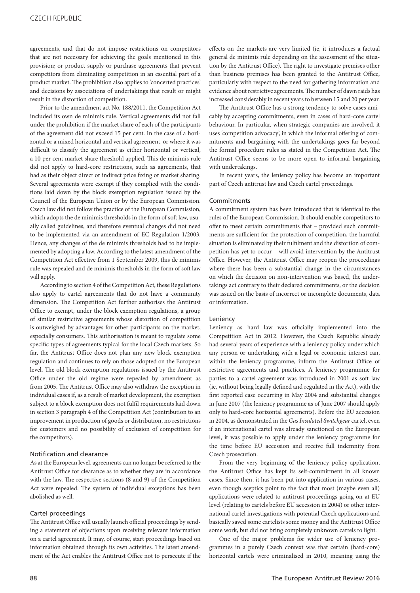agreements, and that do not impose restrictions on competitors that are not necessary for achieving the goals mentioned in this provision; or product supply or purchase agreements that prevent competitors from eliminating competition in an essential part of a product market. The prohibition also applies to 'concerted practices' and decisions by associations of undertakings that result or might result in the distortion of competition.

Prior to the amendment act No. 188/2011, the Competition Act included its own de minimis rule. Vertical agreements did not fall under the prohibition if the market share of each of the participants of the agreement did not exceed 15 per cent. In the case of a horizontal or a mixed horizontal and vertical agreement, or where it was difficult to classify the agreement as either horizontal or vertical, a 10 per cent market share threshold applied. This de minimis rule did not apply to hard-core restrictions, such as agreements, that had as their object direct or indirect price fixing or market sharing. Several agreements were exempt if they complied with the conditions laid down by the block exemption regulation issued by the Council of the European Union or by the European Commission. Czech law did not follow the practice of the European Commission, which adopts the de minimis thresholds in the form of soft law, usually called guidelines, and therefore eventual changes did not need to be implemented via an amendment of EC Regulation 1/2003. Hence, any changes of the de minimis thresholds had to be implemented by adopting a law. According to the latest amendment of the Competition Act effective from 1 September 2009, this de minimis rule was repealed and de minimis thresholds in the form of soft law will apply.

According to section 4 of the Competition Act, these Regulations also apply to cartel agreements that do not have a community dimension. The Competition Act further authorises the Antitrust Office to exempt, under the block exemption regulations, a group of similar restrictive agreements whose distortion of competition is outweighed by advantages for other participants on the market, especially consumers. This authorisation is meant to regulate some specific types of agreements typical for the local Czech markets. So far, the Antitrust Office does not plan any new block exemption regulation and continues to rely on those adopted on the European level. The old block exemption regulations issued by the Antitrust Office under the old regime were repealed by amendment as from 2005. The Antitrust Office may also withdraw the exception in individual cases if, as a result of market development, the exemption subject to a block exemption does not fulfil requirements laid down in section 3 paragraph 4 of the Competition Act (contribution to an improvement in production of goods or distribution, no restrictions for customers and no possibility of exclusion of competition for the competitors).

#### Notification and clearance

As at the European level, agreements can no longer be referred to the Antitrust Office for clearance as to whether they are in accordance with the law. The respective sections (8 and 9) of the Competition Act were repealed. The system of individual exceptions has been abolished as well.

#### Cartel proceedings

The Antitrust Office will usually launch official proceedings by sending a statement of objections upon receiving relevant information on a cartel agreement. It may, of course, start proceedings based on information obtained through its own activities. The latest amendment of the Act enables the Antitrust Office not to persecute if the effects on the markets are very limited (ie, it introduces a factual general de minimis rule depending on the assessment of the situation by the Antitrust Office). The right to investigate premises other than business premises has been granted to the Antitrust Office, particularly with respect to the need for gathering information and evidence about restrictive agreements. The number of dawn raids has increased considerably in recent years to between 15 and 20 per year.

The Antitrust Office has a strong tendency to solve cases amicably by accepting commitments, even in cases of hard-core cartel behaviour. In particular, when strategic companies are involved, it uses 'competition advocacy', in which the informal offering of commitments and bargaining with the undertakings goes far beyond the formal procedure rules as stated in the Competition Act. The Antitrust Office seems to be more open to informal bargaining with undertakings.

In recent years, the leniency policy has become an important part of Czech antitrust law and Czech cartel proceedings.

#### Commitments

A commitment system has been introduced that is identical to the rules of the European Commission. It should enable competitors to offer to meet certain commitments that – provided such commitments are sufficient for the protection of competition, the harmful situation is eliminated by their fulfilment and the distortion of competition has yet to occur – will avoid intervention by the Antitrust Office. However, the Antitrust Office may reopen the proceedings where there has been a substantial change in the circumstances on which the decision on non-intervention was based, the undertakings act contrary to their declared commitments, or the decision was issued on the basis of incorrect or incomplete documents, data or information.

#### Leniency

Leniency as hard law was officially implemented into the Competition Act in 2012. However, the Czech Republic already had several years of experience with a leniency policy under which any person or undertaking with a legal or economic interest can, within the leniency programme, inform the Antitrust Office of restrictive agreements and practices. A leniency programme for parties to a cartel agreement was introduced in 2001 as soft law (ie, without being legally defined and regulated in the Act), with the first reported case occurring in May 2004 and substantial changes in June 2007 (the leniency programme as of June 2007 should apply only to hard-core horizontal agreements). Before the EU accession in 2004, as demonstrated in the *Gas Insulated Switchgear* cartel, even if an international cartel was already sanctioned on the European level, it was possible to apply under the leniency programme for the time before EU accession and receive full indemnity from Czech prosecution.

From the very beginning of the leniency policy application, the Antitrust Office has kept its self-commitment in all known cases. Since then, it has been put into application in various cases, even though sceptics point to the fact that most (maybe even all) applications were related to antitrust proceedings going on at EU level (relating to cartels before EU accession in 2004) or other international cartel investigations with potential Czech applications and basically saved some cartelists some money and the Antitrust Office some work, but did not bring completely unknown cartels to light.

One of the major problems for wider use of leniency programmes in a purely Czech context was that certain (hard-core) horizontal cartels were criminalised in 2010, meaning using the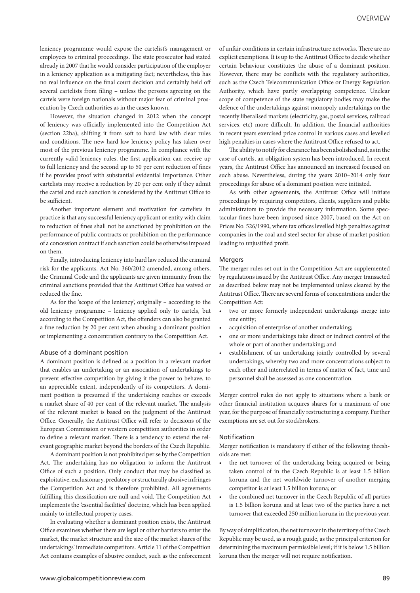leniency programme would expose the cartelist's management or employees to criminal proceedings. The state prosecutor had stated already in 2007 that he would consider participation of the employer in a leniency application as a mitigating fact; nevertheless, this has no real influence on the final court decision and certainly held off several cartelists from filing – unless the persons agreeing on the cartels were foreign nationals without major fear of criminal prosecution by Czech authorities as in the cases known.

However, the situation changed in 2012 when the concept of leniency was officially implemented into the Competition Act (section 22ba), shifting it from soft to hard law with clear rules and conditions. The new hard law leniency policy has taken over most of the previous leniency programme. In compliance with the currently valid leniency rules, the first application can receive up to full leniency and the second up to 50 per cent reduction of fines if he provides proof with substantial evidential importance. Other cartelists may receive a reduction by 20 per cent only if they admit the cartel and such sanction is considered by the Antitrust Office to be sufficient.

Another important element and motivation for cartelists in practice is that any successful leniency applicant or entity with claim to reduction of fines shall not be sanctioned by prohibition on the performance of public contracts or prohibition on the performance of a concession contract if such sanction could be otherwise imposed on them.

Finally, introducing leniency into hard law reduced the criminal risk for the applicants. Act No. 360/2012 amended, among others, the Criminal Code and the applicants are given immunity from the criminal sanctions provided that the Antitrust Office has waived or reduced the fine.

As for the 'scope of the leniency', originally – according to the old leniency programme – leniency applied only to cartels, but according to the Competition Act, the offenders can also be granted a fine reduction by 20 per cent when abusing a dominant position or implementing a concentration contrary to the Competition Act.

#### Abuse of a dominant position

A dominant position is defined as a position in a relevant market that enables an undertaking or an association of undertakings to prevent effective competition by giving it the power to behave, to an appreciable extent, independently of its competitors. A dominant position is presumed if the undertaking reaches or exceeds a market share of 40 per cent of the relevant market. The analysis of the relevant market is based on the judgment of the Antitrust Office. Generally, the Antitrust Office will refer to decisions of the European Commission or western competition authorities in order to define a relevant market. There is a tendency to extend the relevant geographic market beyond the borders of the Czech Republic.

A dominant position is not prohibited per se by the Competition Act. The undertaking has no obligation to inform the Antitrust Office of such a position. Only conduct that may be classified as exploitative, exclusionary, predatory or structurally abusive infringes the Competition Act and is therefore prohibited. All agreements fulfilling this classification are null and void. The Competition Act implements the 'essential facilities' doctrine, which has been applied mainly to intellectual property cases.

In evaluating whether a dominant position exists, the Antitrust Office examines whether there are legal or other barriers to enter the market, the market structure and the size of the market shares of the undertakings' immediate competitors. Article 11 of the Competition Act contains examples of abusive conduct, such as the enforcement

of unfair conditions in certain infrastructure networks. There are no explicit exemptions. It is up to the Antitrust Office to decide whether certain behaviour constitutes the abuse of a dominant position. However, there may be conflicts with the regulatory authorities, such as the Czech Telecommunication Office or Energy Regulation Authority, which have partly overlapping competence. Unclear scope of competence of the state regulatory bodies may make the defence of the undertakings against monopoly undertakings on the recently liberalised markets (electricity, gas, postal services, railroad services, etc) more difficult. In addition, the financial authorities in recent years exercised price control in various cases and levelled high penalties in cases where the Antitrust Office refused to act.

The ability to notify for clearance has been abolished and, as in the case of cartels, an obligation system has been introduced. In recent years, the Antitrust Office has announced an increased focused on such abuse. Nevertheless, during the years 2010–2014 only four proceedings for abuse of a dominant position were initiated.

As with other agreements, the Antitrust Office will initiate proceedings by requiring competitors, clients, suppliers and public administrators to provide the necessary information. Some spectacular fines have been imposed since 2007, based on the Act on Prices No. 526/1990, where tax offices levelled high penalties against companies in the coal and steel sector for abuse of market position leading to unjustified profit.

#### Mergers

The merger rules set out in the Competition Act are supplemented by regulations issued by the Antitrust Office. Any merger transacted as described below may not be implemented unless cleared by the Antitrust Office. There are several forms of concentrations under the Competition Act:

- two or more formerly independent undertakings merge into one entity;
- acquisition of enterprise of another undertaking;
- one or more undertakings take direct or indirect control of the whole or part of another undertaking; and
- establishment of an undertaking jointly controlled by several undertakings, whereby two and more concentrations subject to each other and interrelated in terms of matter of fact, time and personnel shall be assessed as one concentration.

Merger control rules do not apply to situations where a bank or other financial institution acquires shares for a maximum of one year, for the purpose of financially restructuring a company. Further exemptions are set out for stockbrokers.

#### Notification

Merger notification is mandatory if either of the following thresholds are met:

- the net turnover of the undertaking being acquired or being taken control of in the Czech Republic is at least 1.5 billion koruna and the net worldwide turnover of another merging competitor is at least 1.5 billion koruna; or
- the combined net turnover in the Czech Republic of all parties is 1.5 billion koruna and at least two of the parties have a net turnover that exceeded 250 million koruna in the previous year.

By way of simplification, the net turnover in the territory of the Czech Republic may be used, as a rough guide, as the principal criterion for determining the maximum permissible level; if it is below 1.5 billion koruna then the merger will not require notification.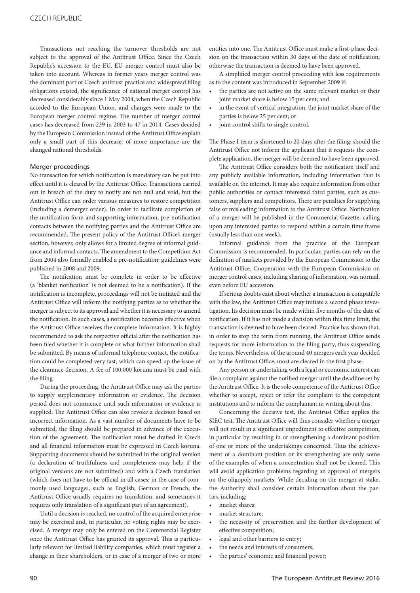Transactions not reaching the turnover thresholds are not subject to the approval of the Antitrust Office. Since the Czech Republic's accession to the EU, EU merger control must also be taken into account. Whereas in former years merger control was the dominant part of Czech antitrust practice and widespread filing obligations existed, the significance of national merger control has decreased considerably since 1 May 2004, when the Czech Republic acceded to the European Union, and changes were made to the European merger control regime. The number of merger control cases has decreased from 239 in 2003 to 47 in 2014. Cases decided by the European Commission instead of the Antitrust Office explain only a small part of this decrease; of more importance are the changed national thresholds.

#### Merger proceedings

No transaction for which notification is mandatory can be put into effect until it is cleared by the Antitrust Office. Transactions carried out in breach of the duty to notify are not null and void, but the Antitrust Office can order various measures to restore competition (including a demerger order). In order to facilitate completion of the notification form and supporting information, pre-notification contacts between the notifying parties and the Antitrust Office are recommended. The present policy of the Antitrust Office's merger section, however, only allows for a limited degree of informal guidance and informal contacts. The amendment to the Competition Act from 2004 also formally enabled a pre-notification; guidelines were published in 2008 and 2009.

The notification must be complete in order to be effective (a 'blanket notification' is not deemed to be a notification). If the notification is incomplete, proceedings will not be initiated and the Antitrust Office will inform the notifying parties as to whether the merger is subject to its approval and whether it is necessary to amend the notification. In such cases, a notification becomes effective when the Antitrust Office receives the complete information. It is highly recommended to ask the respective official after the notification has been filed whether it is complete or what further information shall be submitted. By means of informal telephone contact, the notification could be completed very fast, which can speed up the issue of the clearance decision. A fee of 100,000 koruna must be paid with the filing.

During the proceeding, the Antitrust Office may ask the parties to supply supplementary information or evidence. The decision period does not commence until such information or evidence is supplied. The Antitrust Office can also revoke a decision based on incorrect information. As a vast number of documents have to be submitted, the filing should be prepared in advance of the execution of the agreement. The notification must be drafted in Czech and all financial information must be expressed in Czech koruna. Supporting documents should be submitted in the original version (a declaration of truthfulness and completeness may help if the original versions are not submitted) and with a Czech translation (which does not have to be official in all cases; in the case of commonly used languages, such as English, German or French, the Antitrust Office usually requires no translation, and sometimes it requires only translation of a significant part of an agreement).

Until a decision is reached, no control of the acquired enterprise may be exercised and, in particular, no voting rights may be exercised. A merger may only be entered on the Commercial Register once the Antitrust Office has granted its approval. This is particularly relevant for limited liability companies, which must register a change in their shareholders, or in case of a merger of two or more entities into one. The Antitrust Office must make a first-phase decision on the transaction within 30 days of the date of notification; otherwise the transaction is deemed to have been approved.

A simplified merger control proceeding with less requirements as to the content was introduced in September 2009 if:

- the parties are not active on the same relevant market or their joint market share is below 15 per cent; and
- in the event of vertical integration, the joint market share of the parties is below 25 per cent; or
- joint control shifts to single control.

The Phase I term is shortened to 20 days after the filing; should the Antitrust Office not inform the applicant that it requests the complete application, the merger will be deemed to have been approved.

The Antitrust Office considers both the notification itself and any publicly available information, including information that is available on the internet. It may also require information from other public authorities or contact interested third parties, such as customers, suppliers and competitors. There are penalties for supplying false or misleading information to the Antitrust Office. Notification of a merger will be published in the Commercial Gazette, calling upon any interested parties to respond within a certain time frame (usually less than one week).

Informal guidance from the practice of the European Commission is recommended. In particular, parties can rely on the definition of markets provided by the European Commission to the Antitrust Office. Cooperation with the European Commission on merger control cases, including sharing of information, was normal, even before EU accession.

If serious doubts exist about whether a transaction is compatible with the law, the Antitrust Office may initiate a second phase investigation. Its decision must be made within five months of the date of notification. If it has not made a decision within this time limit, the transaction is deemed to have been cleared. Practice has shown that, in order to stop the term from running, the Antitrust Office sends requests for more information to the filing party, thus suspending the terms. Nevertheless, of the around 40 mergers each year decided on by the Antitrust Office, most are cleared in the first phase.

Any person or undertaking with a legal or economic interest can file a complaint against the notified merger until the deadline set by the Antitrust Office. It is the sole competence of the Antitrust Office whether to accept, reject or refer the complaint to the competent institutions and to inform the complainant in writing about this.

Concerning the decisive test, the Antitrust Office applies the SIEC test. The Antitrust Office will thus consider whether a merger will not result in a significant impediment to effective competition, in particular by resulting in or strengthening a dominant position of one or more of the undertakings concerned. Thus the achievement of a dominant position or its strengthening are only some of the examples of when a concentration shall not be cleared. This will avoid application problems regarding an approval of mergers on the oligopoly markets. While deciding on the merger at stake, the Authority shall consider certain information about the parties, including:

- market shares;
- market structure;
- the necessity of preservation and the further development of effective competition;
- legal and other barriers to entry;
- the needs and interests of consumers;
- the parties' economic and financial power;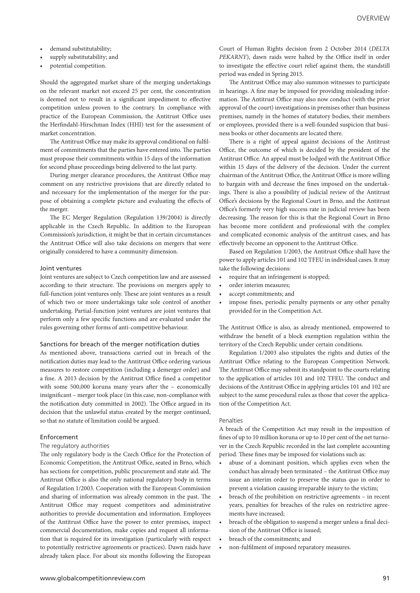- demand substitutability;
- supply substitutability; and
- potential competition.

Should the aggregated market share of the merging undertakings on the relevant market not exceed 25 per cent, the concentration is deemed not to result in a significant impediment to effective competition unless proven to the contrary. In compliance with practice of the European Commission, the Antitrust Office uses the Herfindahl-Hirschman Index (HHI) test for the assessment of market concentration.

The Antitrust Office may make its approval conditional on fulfilment of commitments that the parties have entered into. The parties must propose their commitments within 15 days of the information for second phase proceedings being delivered to the last party.

During merger clearance procedures, the Antitrust Office may comment on any restrictive provisions that are directly related to and necessary for the implementation of the merger for the purpose of obtaining a complete picture and evaluating the effects of the merger.

The EC Merger Regulation (Regulation 139/2004) is directly applicable in the Czech Republic. In addition to the European Commission's jurisdiction, it might be that in certain circumstances the Antitrust Office will also take decisions on mergers that were originally considered to have a community dimension.

#### Joint ventures

Joint ventures are subject to Czech competition law and are assessed according to their structure. The provisions on mergers apply to full-function joint ventures only. These are joint ventures as a result of which two or more undertakings take sole control of another undertaking. Partial-function joint ventures are joint ventures that perform only a few specific functions and are evaluated under the rules governing other forms of anti-competitive behaviour.

#### Sanctions for breach of the merger notification duties

As mentioned above, transactions carried out in breach of the notification duties may lead to the Antitrust Office ordering various measures to restore competition (including a demerger order) and a fine. A 2013 decision by the Antitrust Office fined a competitor with some 500,000 koruna many years after the – economically insignificant – merger took place (in this case, non-compliance with the notification duty committed in 2002). The Office argued in its decision that the unlawful status created by the merger continued, so that no statute of limitation could be argued.

#### Enforcement

#### The regulatory authorities

The only regulatory body is the Czech Office for the Protection of Economic Competition, the Antitrust Office, seated in Brno, which has sections for competition, public procurement and state aid. The Antitrust Office is also the only national regulatory body in terms of Regulation 1/2003. Cooperation with the European Commission and sharing of information was already common in the past. The Antitrust Office may request competitors and administrative authorities to provide documentation and information. Employees of the Antitrust Office have the power to enter premises, inspect commercial documentation, make copies and request all information that is required for its investigation (particularly with respect to potentially restrictive agreements or practices). Dawn raids have already taken place. For about six months following the European

Court of Human Rights decision from 2 October 2014 (*DELTA PEKARNY*), dawn raids were halted by the Office itself in order to investigate the effective court relief against them, the standstill period was ended in Spring 2015.

The Antitrust Office may also summon witnesses to participate in hearings. A fine may be imposed for providing misleading information. The Antitrust Office may also now conduct (with the prior approval of the court) investigations in premises other than business premises, namely in the homes of statutory bodies, their members or employees, provided there is a well-founded suspicion that business books or other documents are located there.

There is a right of appeal against decisions of the Antitrust Office, the outcome of which is decided by the president of the Antitrust Office. An appeal must be lodged with the Antitrust Office within 15 days of the delivery of the decision. Under the current chairman of the Antitrust Office, the Antitrust Office is more willing to bargain with and decrease the fines imposed on the undertakings. There is also a possibility of judicial review of the Antitrust Office's decisions by the Regional Court in Brno, and the Antitrust Office's formerly very high success rate in judicial review has been decreasing. The reason for this is that the Regional Court in Brno has become more confident and professional with the complex and complicated economic analysis of the antitrust cases, and has effectively become an opponent to the Antitrust Office.

Based on Regulation 1/2003, the Antitrust Office shall have the power to apply articles 101 and 102 TFEU in individual cases. It may take the following decisions:

- require that an infringement is stopped;
- order interim measures;
- accept commitments; and
- impose fines, periodic penalty payments or any other penalty provided for in the Competition Act.

The Antitrust Office is also, as already mentioned, empowered to withdraw the benefit of a block exemption regulation within the territory of the Czech Republic under certain conditions.

Regulation 1/2003 also stipulates the rights and duties of the Antitrust Office relating to the European Competition Network. The Antitrust Office may submit its standpoint to the courts relating to the application of articles 101 and 102 TFEU. The conduct and decisions of the Antitrust Office in applying articles 101 and 102 are subject to the same procedural rules as those that cover the application of the Competition Act.

#### **Penalties**

A breach of the Competition Act may result in the imposition of fines of up to 10 million koruna or up to 10 per cent of the net turnover in the Czech Republic recorded in the last complete accounting period. These fines may be imposed for violations such as:

- abuse of a dominant position, which applies even when the conduct has already been terminated – the Antitrust Office may issue an interim order to preserve the status quo in order to prevent a violation causing irreparable injury to the victim;
- breach of the prohibition on restrictive agreements in recent years, penalties for breaches of the rules on restrictive agreements have increased;
- breach of the obligation to suspend a merger unless a final decision of the Antitrust Office is issued;
- breach of the commitments; and
- non-fulfilment of imposed reparatory measures.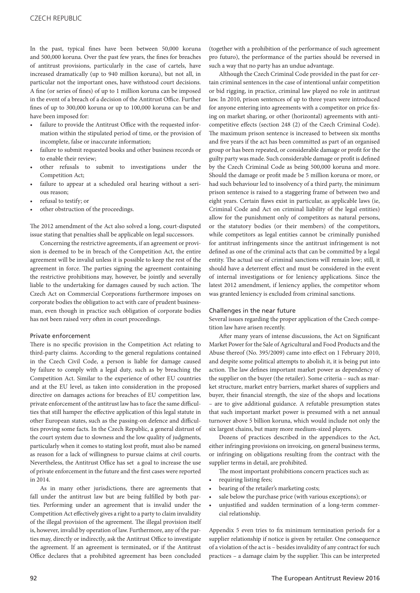In the past, typical fines have been between 50,000 koruna and 500,000 koruna. Over the past few years, the fines for breaches of antitrust provisions, particularly in the case of cartels, have increased dramatically (up to 940 million koruna), but not all, in particular not the important ones, have withstood court decisions. A fine (or series of fines) of up to 1 million koruna can be imposed in the event of a breach of a decision of the Antitrust Office. Further fines of up to 300,000 koruna or up to 100,000 koruna can be and have been imposed for:

- failure to provide the Antitrust Office with the requested information within the stipulated period of time, or the provision of incomplete, false or inaccurate information;
- failure to submit requested books and other business records or to enable their review;
- other refusals to submit to investigations under the Competition Act;
- failure to appear at a scheduled oral hearing without a serious reason;
- refusal to testify; or
- other obstruction of the proceedings.

The 2012 amendment of the Act also solved a long, court-disputed issue stating that penalties shall be applicable on legal successors.

Concerning the restrictive agreements, if an agreement or provision is deemed to be in breach of the Competition Act, the entire agreement will be invalid unless it is possible to keep the rest of the agreement in force. The parties signing the agreement containing the restrictive prohibitions may, however, be jointly and severally liable to the undertaking for damages caused by such action. The Czech Act on Commercial Corporations furthermore imposes on corporate bodies the obligation to act with care of prudent businessman, even though in practice such obligation of corporate bodies has not been raised very often in court proceedings.

#### Private enforcement

There is no specific provision in the Competition Act relating to third-party claims. According to the general regulations contained in the Czech Civil Code, a person is liable for damage caused by failure to comply with a legal duty, such as by breaching the Competition Act. Similar to the experience of other EU countries and at the EU level, as taken into consideration in the proposed directive on damages actions for breaches of EU competition law, private enforcement of the antitrust law has to face the same difficulties that still hamper the effective application of this legal statute in other European states, such as the passing-on defence and difficulties proving some facts. In the Czech Republic, a general distrust of the court system due to slowness and the low quality of judgments, particularly when it comes to stating lost profit, must also be named as reason for a lack of willingness to pursue claims at civil courts. Nevertheless, the Antitrust Office has set a goal to increase the use of private enforcement in the future and the first cases were reported in 2014.

As in many other jurisdictions, there are agreements that fall under the antitrust law but are being fulfilled by both parties. Performing under an agreement that is invalid under the Competition Act effectively gives a right to a party to claim invalidity of the illegal provision of the agreement. The illegal provision itself is, however, invalid by operation of law. Furthermore, any of the parties may, directly or indirectly, ask the Antitrust Office to investigate the agreement. If an agreement is terminated, or if the Antitrust Office declares that a prohibited agreement has been concluded (together with a prohibition of the performance of such agreement pro futuro), the performance of the parties should be reversed in such a way that no party has an undue advantage.

Although the Czech Criminal Code provided in the past for certain criminal sentences in the case of intentional unfair competition or bid rigging, in practice, criminal law played no role in antitrust law. In 2010, prison sentences of up to three years were introduced for anyone entering into agreements with a competitor on price fixing on market sharing, or other (horizontal) agreements with anticompetitive effects (section 248 (2) of the Czech Criminal Code). The maximum prison sentence is increased to between six months and five years if the act has been committed as part of an organised group or has been repeated, or considerable damage or profit for the guilty party was made. Such considerable damage or profit is defined by the Czech Criminal Code as being 500,000 koruna and more. Should the damage or profit made be 5 million koruna or more, or had such behaviour led to insolvency of a third party, the minimum prison sentence is raised to a staggering frame of between two and eight years. Certain flaws exist in particular, as applicable laws (ie, Criminal Code and Act on criminal liability of the legal entities) allow for the punishment only of competitors as natural persons, or the statutory bodies (or their members) of the competitors, while competitors as legal entities cannot be criminally punished for antitrust infringements since the antitrust infringement is not defined as one of the criminal acts that can be committed by a legal entity. The actual use of criminal sanctions will remain low; still, it should have a deterrent effect and must be considered in the event of internal investigations or for leniency applications. Since the latest 2012 amendment, if leniency applies, the competitor whom was granted leniency is excluded from criminal sanctions.

#### Challenges in the near future

Several issues regarding the proper application of the Czech competition law have arisen recently.

After many years of intense discussions, the Act on Significant Market Power for the Sale of Agricultural and Food Products and the Abuse thereof (No. 395/2009) came into effect on 1 February 2010, and despite some political attempts to abolish it, it is being put into action. The law defines important market power as dependency of the supplier on the buyer (the retailer). Some criteria – such as market structure, market entry barriers, market shares of suppliers and buyer, their financial strength, the size of the shops and locations – are to give additional guidance. A refutable presumption states that such important market power is presumed with a net annual turnover above 5 billion koruna, which would include not only the six largest chains, but many more medium-sized players.

Dozens of practices described in the appendices to the Act, either infringing provisions on invoicing, on general business terms, or infringing on obligations resulting from the contract with the supplier terms in detail, are prohibited.

The most important prohibitions concern practices such as:

- requiring listing fees;
- bearing of the retailer's marketing costs;
- sale below the purchase price (with various exceptions); or
- unjustified and sudden termination of a long-term commercial relationship.

Appendix 5 even tries to fix minimum termination periods for a supplier relationship if notice is given by retailer. One consequence of a violation of the act is – besides invalidity of any contract for such practices – a damage claim by the supplier. This can be interpreted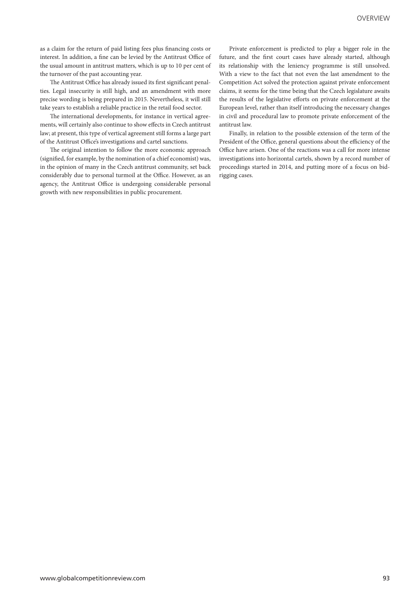as a claim for the return of paid listing fees plus financing costs or interest. In addition, a fine can be levied by the Antitrust Office of the usual amount in antitrust matters, which is up to 10 per cent of the turnover of the past accounting year.

The Antitrust Office has already issued its first significant penalties. Legal insecurity is still high, and an amendment with more precise wording is being prepared in 2015. Nevertheless, it will still take years to establish a reliable practice in the retail food sector.

The international developments, for instance in vertical agreements, will certainly also continue to show effects in Czech antitrust law; at present, this type of vertical agreement still forms a large part of the Antitrust Office's investigations and cartel sanctions.

The original intention to follow the more economic approach (signified, for example, by the nomination of a chief economist) was, in the opinion of many in the Czech antitrust community, set back considerably due to personal turmoil at the Office. However, as an agency, the Antitrust Office is undergoing considerable personal growth with new responsibilities in public procurement.

Private enforcement is predicted to play a bigger role in the future, and the first court cases have already started, although its relationship with the leniency programme is still unsolved. With a view to the fact that not even the last amendment to the Competition Act solved the protection against private enforcement claims, it seems for the time being that the Czech legislature awaits the results of the legislative efforts on private enforcement at the European level, rather than itself introducing the necessary changes in civil and procedural law to promote private enforcement of the antitrust law.

Finally, in relation to the possible extension of the term of the President of the Office, general questions about the efficiency of the Office have arisen. One of the reactions was a call for more intense investigations into horizontal cartels, shown by a record number of proceedings started in 2014, and putting more of a focus on bidrigging cases.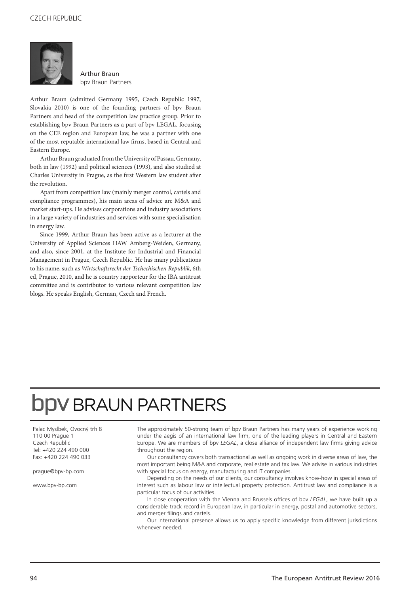

Arthur Braun bpv Braun Partners

Arthur Braun (admitted Germany 1995, Czech Republic 1997, Slovakia 2010) is one of the founding partners of bpv Braun Partners and head of the competition law practice group. Prior to establishing bpv Braun Partners as a part of bpv LEGAL, focusing on the CEE region and European law, he was a partner with one of the most reputable international law firms, based in Central and Eastern Europe.

Arthur Braun graduated from the University of Passau, Germany, both in law (1992) and political sciences (1993), and also studied at Charles University in Prague, as the first Western law student after the revolution.

Apart from competition law (mainly merger control, cartels and compliance programmes), his main areas of advice are M&A and market start-ups. He advises corporations and industry associations in a large variety of industries and services with some specialisation in energy law.

Since 1999, Arthur Braun has been active as a lecturer at the University of Applied Sciences HAW Amberg-Weiden, Germany, and also, since 2001, at the Institute for Industrial and Financial Management in Prague, Czech Republic. He has many publications to his name, such as *Wirtschaftsrecht der Tschechischen Republik*, 6th ed, Prague, 2010, and he is country rapporteur for the IBA antitrust committee and is contributor to various relevant competition law blogs. He speaks English, German, Czech and French.

## **DDV BRAUN PARTNERS**

Palac Myslbek, Ovocný trh 8 110 00 Prague 1 Czech Republic Tel: +420 224 490 000 Fax: +420 224 490 033

prague@bpv-bp.com

www.bpv-bp.com

The approximately 50-strong team of bpv Braun Partners has many years of experience working under the aegis of an international law firm, one of the leading players in Central and Eastern Europe. We are members of bpv *LEGAL*, a close alliance of independent law firms giving advice throughout the region.

Our consultancy covers both transactional as well as ongoing work in diverse areas of law, the most important being M&A and corporate, real estate and tax law. We advise in various industries with special focus on energy, manufacturing and IT companies.

Depending on the needs of our clients, our consultancy involves know-how in special areas of interest such as labour law or intellectual property protection. Antitrust law and compliance is a particular focus of our activities.

In close cooperation with the Vienna and Brussels offices of bpv *LEGAL*, we have built up a considerable track record in European law, in particular in energy, postal and automotive sectors, and merger filings and cartels.

Our international presence allows us to apply specific knowledge from different jurisdictions whenever needed.